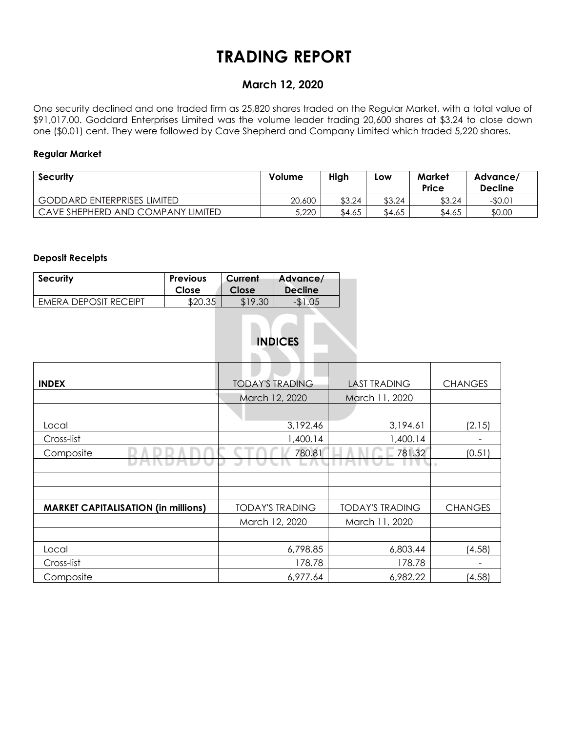# **TRADING REPORT**

## **March 12, 2020**

One security declined and one traded firm as 25,820 shares traded on the Regular Market, with a total value of \$91,017.00. Goddard Enterprises Limited was the volume leader trading 20,600 shares at \$3.24 to close down one (\$0.01) cent. They were followed by Cave Shepherd and Company Limited which traded 5,220 shares.

#### **Regular Market**

| <b>Security</b>                    | Volume | High   | Low    | Market<br><b>Price</b> | Advance/<br><b>Decline</b> |  |
|------------------------------------|--------|--------|--------|------------------------|----------------------------|--|
| <b>GODDARD ENTERPRISES LIMITED</b> | 20,600 | \$3.24 | \$3.24 | \$3.24                 | -\$0.01                    |  |
| CAVE SHEPHERD AND COMPANY LIMITED  | 5,220  | \$4.65 | \$4.65 | \$4.65                 | \$0.00                     |  |

#### **Deposit Receipts**

| <b>Security</b>       | <b>Previous</b> | Current | Advance/       |
|-----------------------|-----------------|---------|----------------|
|                       | Close           | Close   | <b>Decline</b> |
| EMERA DEPOSIT RECEIPT | \$20.35         | \$19.30 |                |

# **INDICES**

| <b>INDEX</b>                               | <b>TODAY'S TRADING</b> | <b>LAST TRADING</b>    | <b>CHANGES</b> |  |  |
|--------------------------------------------|------------------------|------------------------|----------------|--|--|
|                                            | March 12, 2020         | March 11, 2020         |                |  |  |
|                                            |                        |                        |                |  |  |
| Local                                      | 3,192.46               | 3,194.61               |                |  |  |
| Cross-list                                 | 1,400.14               | 1,400.14               |                |  |  |
| Composite                                  | 780.81                 | 781.32                 | (0.51)         |  |  |
|                                            |                        |                        | $\rightarrow$  |  |  |
|                                            |                        |                        |                |  |  |
|                                            |                        |                        |                |  |  |
| <b>MARKET CAPITALISATION (in millions)</b> | <b>TODAY'S TRADING</b> | <b>TODAY'S TRADING</b> | <b>CHANGES</b> |  |  |
|                                            | March 12, 2020         | March 11, 2020         |                |  |  |
|                                            |                        |                        |                |  |  |
| Local                                      | 6,798.85               | 6,803.44               | (4.58)         |  |  |
| Cross-list                                 | 178.78                 | 178.78                 |                |  |  |
| Composite                                  | 6,977.64               | 6,982.22               | (4.58)         |  |  |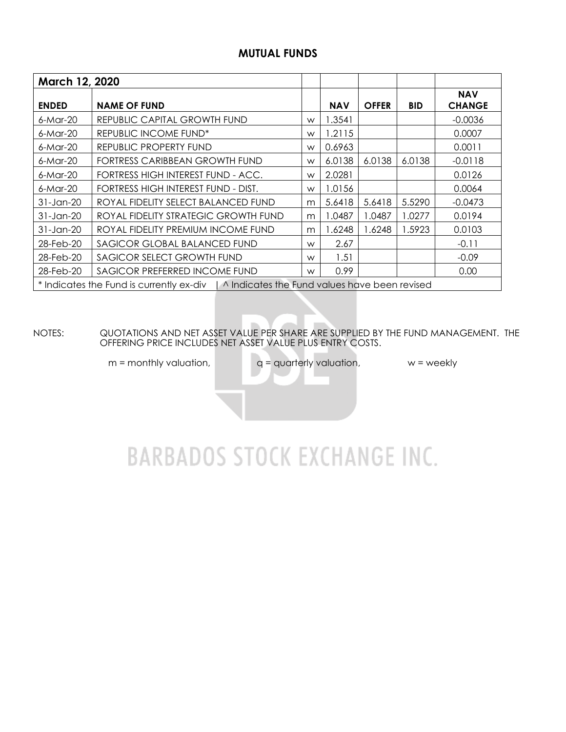### **MUTUAL FUNDS**

| March 12, 2020 |                                                                                          |   |            |              |            |                             |
|----------------|------------------------------------------------------------------------------------------|---|------------|--------------|------------|-----------------------------|
| <b>ENDED</b>   | <b>NAME OF FUND</b>                                                                      |   | <b>NAV</b> | <b>OFFER</b> | <b>BID</b> | <b>NAV</b><br><b>CHANGE</b> |
| 6-Mar-20       | REPUBLIC CAPITAL GROWTH FUND                                                             | W | 1.3541     |              |            | $-0.0036$                   |
| $6$ -Mar-20    | REPUBLIC INCOME FUND <sup>*</sup>                                                        | W | 1.2115     |              |            | 0.0007                      |
| 6-Mar-20       | REPUBLIC PROPERTY FUND                                                                   | W | 0.6963     |              |            | 0.0011                      |
| $6$ -Mar-20    | FORTRESS CARIBBEAN GROWTH FUND                                                           | W | 6.0138     | 6.0138       | 6.0138     | $-0.0118$                   |
| 6-Mar-20       | FORTRESS HIGH INTEREST FUND - ACC.                                                       | W | 2.0281     |              |            | 0.0126                      |
| 6-Mar-20       | FORTRESS HIGH INTEREST FUND - DIST.                                                      | W | 1.0156     |              |            | 0.0064                      |
| 31-Jan-20      | ROYAL FIDELITY SELECT BALANCED FUND                                                      | m | 5.6418     | 5.6418       | 5.5290     | $-0.0473$                   |
| 31-Jan-20      | ROYAL FIDELITY STRATEGIC GROWTH FUND                                                     | m | 1.0487     | 1.0487       | 1.0277     | 0.0194                      |
| $31$ -Jan-20   | ROYAL FIDELITY PREMIUM INCOME FUND                                                       | m | 1.6248     | 1.6248       | 1.5923     | 0.0103                      |
| 28-Feb-20      | SAGICOR GLOBAL BALANCED FUND                                                             | W | 2.67       |              |            | $-0.11$                     |
| 28-Feb-20      | SAGICOR SELECT GROWTH FUND                                                               | W | 1.51       |              |            | $-0.09$                     |
| 28-Feb-20      | SAGICOR PREFERRED INCOME FUND                                                            | W | 0.99       |              |            | 0.00                        |
|                | * Indicates the Fund is currently ex-div   ^ Indicates the Fund values have been revised |   |            |              |            |                             |

NOTES: QUOTATIONS AND NET ASSET VALUE PER SHARE ARE SUPPLIED BY THE FUND MANAGEMENT. THE OFFERING PRICE INCLUDES NET ASSET VALUE PLUS ENTRY COSTS.

 $m =$  monthly valuation,  $q =$  quarterly valuation,  $w =$  weekly

# **BARBADOS STOCK EXCHANGE INC.**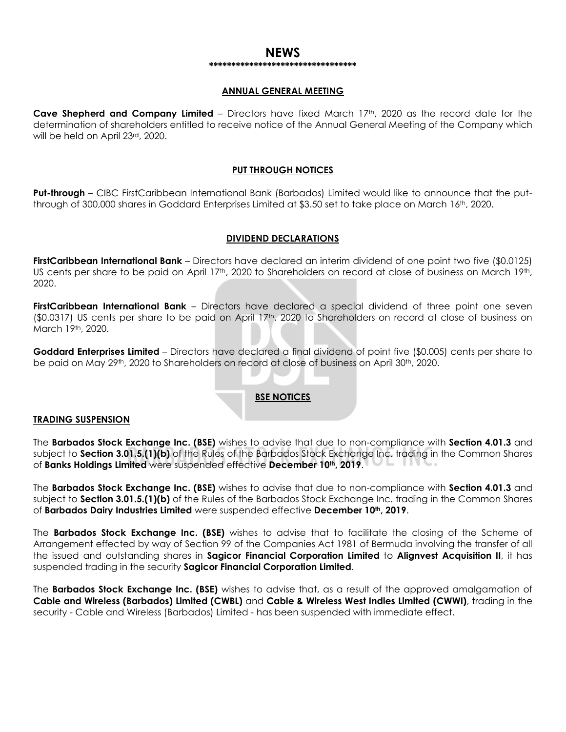#### **NEWS \*\*\*\*\*\*\*\*\*\*\*\*\*\*\*\*\*\*\*\*\*\*\*\*\*\*\*\*\*\*\*\*\***

#### **ANNUAL GENERAL MEETING**

**Cave Shepherd and Company Limited** – Directors have fixed March 17th, 2020 as the record date for the determination of shareholders entitled to receive notice of the Annual General Meeting of the Company which will be held on April 23rd, 2020.

#### **PUT THROUGH NOTICES**

**Put-through** – CIBC FirstCaribbean International Bank (Barbados) Limited would like to announce that the putthrough of 300,000 shares in Goddard Enterprises Limited at \$3.50 set to take place on March 16th, 2020.

#### **DIVIDEND DECLARATIONS**

**FirstCaribbean International Bank** – Directors have declared an interim dividend of one point two five (\$0.0125) US cents per share to be paid on April 17<sup>th</sup>, 2020 to Shareholders on record at close of business on March 19<sup>th</sup>, 2020.

**FirstCaribbean International Bank** – Directors have declared a special dividend of three point one seven (\$0.0317) US cents per share to be paid on April 17<sup>th</sup>, 2020 to Shareholders on record at close of business on March 19th, 2020.

**Goddard Enterprises Limited** – Directors have declared a final dividend of point five (\$0.005) cents per share to be paid on May 29<sup>th</sup>, 2020 to Shareholders on record at close of business on April 30<sup>th</sup>, 2020.

#### **BSE NOTICES**

#### **TRADING SUSPENSION**

The **Barbados Stock Exchange Inc. (BSE)** wishes to advise that due to non-compliance with **Section 4.01.3** and subject to **Section 3.01.5.(1)(b)** of the Rules of the Barbados Stock Exchange Inc. trading in the Common Shares of **Banks Holdings Limited** were suspended effective **December 10th, 2019**.

The **Barbados Stock Exchange Inc. (BSE)** wishes to advise that due to non-compliance with **Section 4.01.3** and subject to **Section 3.01.5.(1)(b)** of the Rules of the Barbados Stock Exchange Inc. trading in the Common Shares of **Barbados Dairy Industries Limited** were suspended effective **December 10th, 2019**.

The **Barbados Stock Exchange Inc. (BSE)** wishes to advise that to facilitate the closing of the Scheme of Arrangement effected by way of Section 99 of the Companies Act 1981 of Bermuda involving the transfer of all the issued and outstanding shares in **Sagicor Financial Corporation Limited** to **Alignvest Acquisition II**, it has suspended trading in the security **Sagicor Financial Corporation Limited**.

The **Barbados Stock Exchange Inc. (BSE)** wishes to advise that, as a result of the approved amalgamation of **Cable and Wireless (Barbados) Limited (CWBL)** and **Cable & Wireless West Indies Limited (CWWI)**, trading in the security - Cable and Wireless (Barbados) Limited - has been suspended with immediate effect.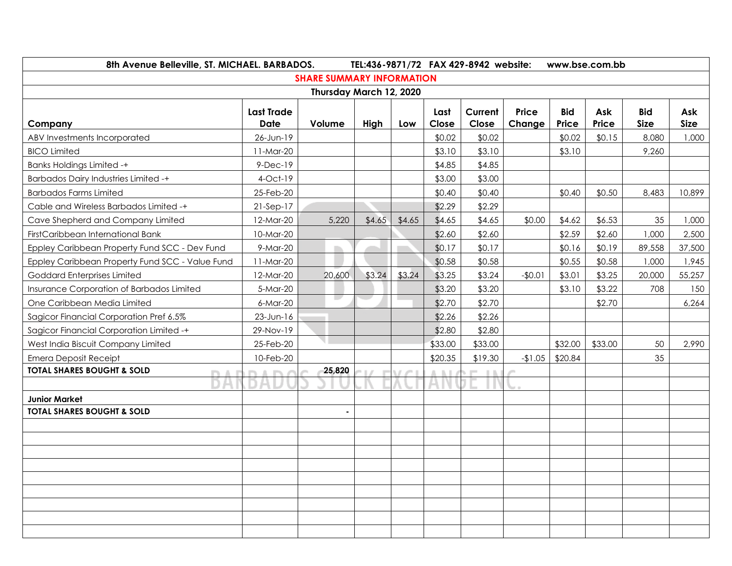| 8th Avenue Belleville, ST. MICHAEL. BARBADOS.<br>TEL:436-9871/72 FAX 429-8942 website: |                   |                                  |        |        |         |                       |                  |                        | www.bse.com.bb      |                     |                           |                    |
|----------------------------------------------------------------------------------------|-------------------|----------------------------------|--------|--------|---------|-----------------------|------------------|------------------------|---------------------|---------------------|---------------------------|--------------------|
|                                                                                        |                   | <b>SHARE SUMMARY INFORMATION</b> |        |        |         |                       |                  |                        |                     |                     |                           |                    |
|                                                                                        |                   | Thursday March 12, 2020          |        |        |         |                       |                  |                        |                     |                     |                           |                    |
| Company                                                                                | <b>Last Trade</b> | <b>Date</b><br>Volume            |        | High   | Low     | Last<br>Close         | Current<br>Close | <b>Price</b><br>Change | <b>Bid</b><br>Price | Ask<br><b>Price</b> | <b>Bid</b><br><b>Size</b> | Ask<br><b>Size</b> |
| ABV Investments Incorporated                                                           | 26-Jun-19         |                                  |        |        | \$0.02  | \$0.02                |                  | \$0.02                 | \$0.15              | 8,080               | 1,000                     |                    |
| <b>BICO Limited</b>                                                                    | 11-Mar-20         |                                  |        |        | \$3.10  | \$3.10                |                  | \$3.10                 |                     | 9,260               |                           |                    |
| <b>Banks Holdings Limited -+</b>                                                       | $9-Dec-19$        |                                  |        |        | \$4.85  | \$4.85                |                  |                        |                     |                     |                           |                    |
| <b>Barbados Dairy Industries Limited -+</b>                                            | $4$ -Oct-19       |                                  |        |        | \$3.00  | \$3.00                |                  |                        |                     |                     |                           |                    |
| <b>Barbados Farms Limited</b>                                                          | 25-Feb-20         |                                  |        |        | \$0.40  | \$0.40                |                  | \$0.40                 | \$0.50              | 8,483               | 10,899                    |                    |
| Cable and Wireless Barbados Limited -+                                                 | $21-Sep-17$       |                                  |        |        | \$2.29  | \$2.29                |                  |                        |                     |                     |                           |                    |
| Cave Shepherd and Company Limited                                                      | 12-Mar-20         | 5,220                            | \$4.65 | \$4.65 | \$4.65  | \$4.65                | \$0.00           | \$4.62                 | \$6.53              | 35                  | 1,000                     |                    |
| FirstCaribbean International Bank                                                      | 10-Mar-20         |                                  |        |        | \$2.60  | \$2.60                |                  | \$2.59                 | \$2.60              | 1,000               | 2,500                     |                    |
| Eppley Caribbean Property Fund SCC - Dev Fund                                          | 9-Mar-20          | m                                |        |        | \$0.17  | \$0.17                |                  | \$0.16                 | \$0.19              | 89,558              | 37,500                    |                    |
| Eppley Caribbean Property Fund SCC - Value Fund                                        | 11-Mar-20         |                                  |        |        | \$0.58  | \$0.58                |                  | \$0.55                 | \$0.58              | 1,000               | 1,945                     |                    |
| Goddard Enterprises Limited                                                            | 12-Mar-20         | 20,600                           | \$3.24 | \$3.24 | \$3.25  | \$3.24                | $-$0.01$         | \$3.01                 | \$3.25              | 20,000              | 55,257                    |                    |
| <b>Insurance Corporation of Barbados Limited</b>                                       | 5-Mar-20          |                                  |        |        | \$3.20  | \$3.20                |                  | \$3.10                 | \$3.22              | 708                 | 150                       |                    |
| One Caribbean Media Limited                                                            | 6-Mar-20          | u                                |        |        | \$2.70  | \$2.70                |                  |                        | \$2.70              |                     | 6,264                     |                    |
| Sagicor Financial Corporation Pref 6.5%                                                | $23$ -Jun-16      |                                  |        |        | \$2.26  | \$2.26                |                  |                        |                     |                     |                           |                    |
| Sagicor Financial Corporation Limited -+                                               | 29-Nov-19         |                                  |        |        | \$2.80  | \$2.80                |                  |                        |                     |                     |                           |                    |
| West India Biscuit Company Limited                                                     | 25-Feb-20         |                                  |        |        | \$33.00 | \$33.00               |                  | \$32.00                | \$33.00             | 50                  | 2,990                     |                    |
| <b>Emera Deposit Receipt</b>                                                           | 10-Feb-20         |                                  |        |        | \$20.35 | \$19.30               | $-1.05$          | \$20.84                |                     | 35                  |                           |                    |
| <b>TOTAL SHARES BOUGHT &amp; SOLD</b><br>n                                             | л.<br><b>The</b>  | 25,820                           |        |        | D. D.   | <b>DOM:</b><br>$\sim$ |                  |                        |                     |                     |                           |                    |
|                                                                                        |                   |                                  |        |        |         |                       |                  |                        |                     |                     |                           |                    |
| <b>Junior Market</b>                                                                   |                   |                                  |        |        |         |                       |                  |                        |                     |                     |                           |                    |
| TOTAL SHARES BOUGHT & SOLD                                                             |                   |                                  |        |        |         |                       |                  |                        |                     |                     |                           |                    |
|                                                                                        |                   |                                  |        |        |         |                       |                  |                        |                     |                     |                           |                    |
|                                                                                        |                   |                                  |        |        |         |                       |                  |                        |                     |                     |                           |                    |
|                                                                                        |                   |                                  |        |        |         |                       |                  |                        |                     |                     |                           |                    |
|                                                                                        |                   |                                  |        |        |         |                       |                  |                        |                     |                     |                           |                    |
|                                                                                        |                   |                                  |        |        |         |                       |                  |                        |                     |                     |                           |                    |
|                                                                                        |                   |                                  |        |        |         |                       |                  |                        |                     |                     |                           |                    |
|                                                                                        |                   |                                  |        |        |         |                       |                  |                        |                     |                     |                           |                    |
|                                                                                        |                   |                                  |        |        |         |                       |                  |                        |                     |                     |                           |                    |